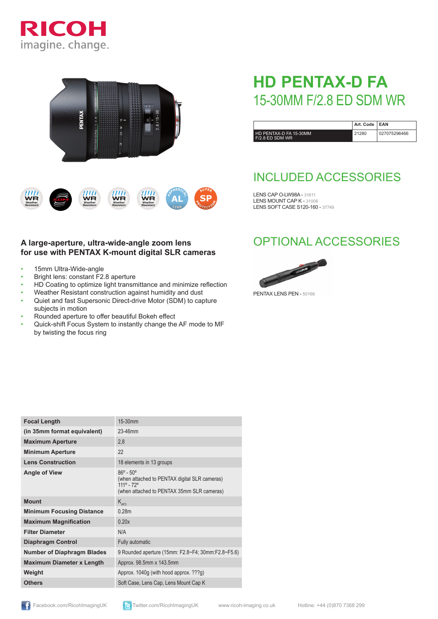





## **A large-aperture, ultra-wide-angle zoom lens for use with PENTAX K-mount digital SLR cameras**

- 15mm Ultra-Wide-angle
- Bright lens: constant F2.8 aperture
- HD Coating to optimize light transmittance and minimize reflection
- Weather Resistant construction against humidity and dust • Quiet and fast Supersonic Direct-drive Motor (SDM) to capture
- subjects in motion
- Rounded aperture to offer beautiful Bokeh effect
- Quick-shift Focus System to instantly change the AF mode to MF by twisting the focus ring

# **HD PENTAX-D FA**  15-30MM F/2.8 ED SDM WR

|                                           | Art. Code   EAN |              |
|-------------------------------------------|-----------------|--------------|
| HD PENTAX-D FA 15-30MM<br>F/2.8 ED SDM WR | 21280           | 027075296466 |

# INCLUDED ACCESSORIES

LENS CAP O-LW98A - 31611 LENS MOUNT CAP K - 31006 LENS SOFT CASE S120-160 - 37749

## OPTIONAL ACCESSORIES



PENTAX LENS PEN - 50166

| <b>Focal Length</b>               | 15-30mm                                                                                                                                |
|-----------------------------------|----------------------------------------------------------------------------------------------------------------------------------------|
| (in 35mm format equivalent)       | 23-46mm                                                                                                                                |
| <b>Maximum Aperture</b>           | 2,8                                                                                                                                    |
| <b>Minimum Aperture</b>           | 22                                                                                                                                     |
| <b>Lens Construction</b>          | 18 elements in 13 groups                                                                                                               |
| <b>Angle of View</b>              | $86^{\circ} - 50^{\circ}$<br>(when attached to PENTAX digital SLR cameras)<br>111º - 72°<br>(when attached to PENTAX 35mm SLR cameras) |
| <b>Mount</b>                      | $K_{\text{AFA}}$                                                                                                                       |
| <b>Minimum Focusing Distance</b>  | 0.28m                                                                                                                                  |
| <b>Maximum Magnification</b>      | 0.20x                                                                                                                                  |
| <b>Filter Diameter</b>            | N/A                                                                                                                                    |
| <b>Diaphragm Control</b>          | Fully automatic                                                                                                                        |
| <b>Number of Diaphragm Blades</b> | 9 Rounded aperture (15mm: F2.8~F4; 30mm:F2.8~F5.6)                                                                                     |
| <b>Maximum Diameter x Length</b>  | Approx. 98.5mm x 143.5mm                                                                                                               |
| Weight                            | Approx. 1040g (with hood approx. ???g)                                                                                                 |
| <b>Others</b>                     | Soft Case, Lens Cap, Lens Mount Cap K                                                                                                  |